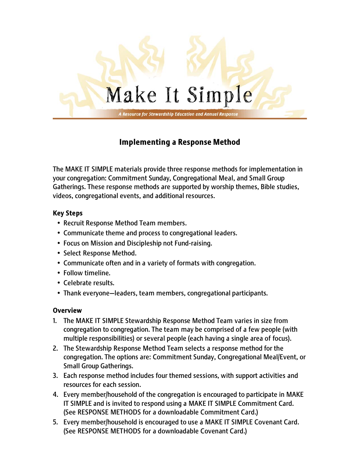

# Implementing a Response Method

The MAKE IT SIMPLE materials provide three response methods for implementation in your congregation: Commitment Sunday, Congregational Meal, and Small Group Gatherings. These response methods are supported by worship themes, Bible studies, videos, congregational events, and additional resources.

### Key Steps

- Recruit Response Method Team members.
- Communicate theme and process to congregational leaders.
- Focus on Mission and Discipleship not Fund-raising.
- Select Response Method.
- Communicate often and in a variety of formats with congregation.
- Follow timeline.
- Celebrate results.
- Thank everyone—leaders, team members, congregational participants.

## **Overview**

- 1. The MAKE IT SIMPLE Stewardship Response Method Team varies in size from congregation to congregation. The team may be comprised of a few people (with multiple responsibilities) or several people (each having a single area of focus).
- 2. The Stewardship Response Method Team selects a response method for the congregation. The options are: Commitment Sunday, Congregational Meal/Event, or Small Group Gatherings.
- 3. Each response method includes four themed sessions, with support activities and resources for each session.
- 4. Every member/household of the congregation is encouraged to participate in MAKE IT SIMPLE and is invited to respond using a MAKE IT SIMPLE Commitment Card. (See RESPONSE METHODS for a downloadable Commitment Card.)
- 5. Every member/household is encouraged to use a MAKE IT SIMPLE Covenant Card. (See RESPONSE METHODS for a downloadable Covenant Card.)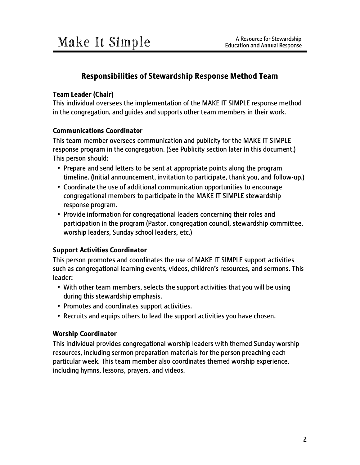## Responsibilities of Stewardship Response Method Team

#### Team Leader (Chair)

This individual oversees the implementation of the MAKE IT SIMPLE response method in the congregation, and guides and supports other team members in their work.

#### Communications Coordinator

This team member oversees communication and publicity for the MAKE IT SIMPLE response program in the congregation. (See Publicity section later in this document.) This person should:

- Prepare and send letters to be sent at appropriate points along the program timeline. (Initial announcement, invitation to participate, thank you, and follow-up.)
- Coordinate the use of additional communication opportunities to encourage congregational members to participate in the MAKE IT SIMPLE stewardship response program.
- Provide information for congregational leaders concerning their roles and participation in the program (Pastor, congregation council, stewardship committee, worship leaders, Sunday school leaders, etc.)

### Support Activities Coordinator

This person promotes and coordinates the use of MAKE IT SIMPLE support activities such as congregational learning events, videos, children's resources, and sermons. This leader:

- With other team members, selects the support activities that you will be using during this stewardship emphasis.
- Promotes and coordinates support activities.
- Recruits and equips others to lead the support activities you have chosen.

#### Worship Coordinator

This individual provides congregational worship leaders with themed Sunday worship resources, including sermon preparation materials for the person preaching each particular week. This team member also coordinates themed worship experience, including hymns, lessons, prayers, and videos.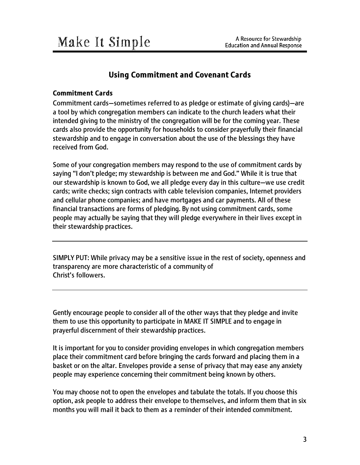## Using Commitment and Covenant Cards

#### Commitment Cards

Commitment cards—sometimes referred to as pledge or estimate of giving cards)—are a tool by which congregation members can indicate to the church leaders what their intended giving to the ministry of the congregation will be for the coming year. These cards also provide the opportunity for households to consider prayerfully their financial stewardship and to engage in conversation about the use of the blessings they have received from God.

Some of your congregation members may respond to the use of commitment cards by saying "I don't pledge; my stewardship is between me and God." While it is true that our stewardship is known to God, we all pledge every day in this culture—we use credit cards; write checks; sign contracts with cable television companies, Internet providers and cellular phone companies; and have mortgages and car payments. All of these financial transactions are forms of pledging. By not using commitment cards, some people may actually be saying that they will pledge everywhere in their lives except in their stewardship practices.

SIMPLY PUT: While privacy may be a sensitive issue in the rest of society, openness and transparency are more characteristic of a community of Christ's followers.

Gently encourage people to consider all of the other ways that they pledge and invite them to use this opportunity to participate in MAKE IT SIMPLE and to engage in prayerful discernment of their stewardship practices.

It is important for you to consider providing envelopes in which congregation members place their commitment card before bringing the cards forward and placing them in a basket or on the altar. Envelopes provide a sense of privacy that may ease any anxiety people may experience concerning their commitment being known by others.

You may choose not to open the envelopes and tabulate the totals. If you choose this option, ask people to address their envelope to themselves, and inform them that in six months you will mail it back to them as a reminder of their intended commitment.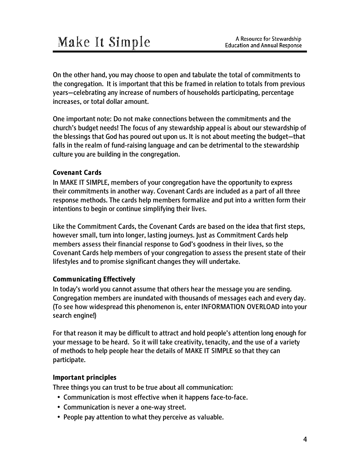On the other hand, you may choose to open and tabulate the total of commitments to the congregation. It is important that this be framed in relation to totals from previous years—celebrating any increase of numbers of households participating, percentage increases, or total dollar amount.

One important note: Do not make connections between the commitments and the church's budget needs! The focus of any stewardship appeal is about our stewardship of the blessings that God has poured out upon us. It is not about meeting the budget—that falls in the realm of fund-raising language and can be detrimental to the stewardship culture you are building in the congregation.

### Covenant Cards

In MAKE IT SIMPLE, members of your congregation have the opportunity to express their commitments in another way. Covenant Cards are included as a part of all three response methods. The cards help members formalize and put into a written form their intentions to begin or continue simplifying their lives.

Like the Commitment Cards, the Covenant Cards are based on the idea that first steps, however small, turn into longer, lasting journeys. Just as Commitment Cards help members assess their financial response to God's goodness in their lives, so the Covenant Cards help members of your congregation to assess the present state of their lifestyles and to promise significant changes they will undertake.

### Communicating Effectively

In today's world you cannot assume that others hear the message you are sending. Congregation members are inundated with thousands of messages each and every day. (To see how widespread this phenomenon is, enter INFORMATION OVERLOAD into your search engine!)

For that reason it may be difficult to attract and hold people's attention long enough for your message to be heard. So it will take creativity, tenacity, and the use of a variety of methods to help people hear the details of MAKE IT SIMPLE so that they can participate.

#### Important principles

Three things you can trust to be true about all communication:

- Communication is most effective when it happens face-to-face.
- Communication is never a one-way street.
- People pay attention to what they perceive as valuable.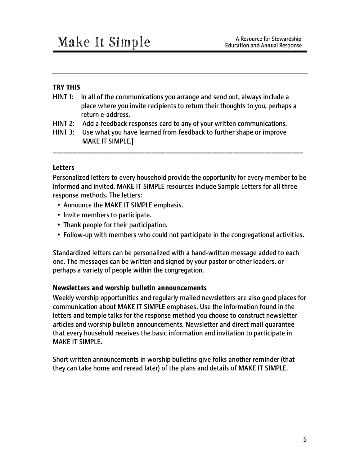#### TRY THIS

- HINT 1: In all of the communications you arrange and send out, always include a place where you invite recipients to return their thoughts to you, perhaps a return e-address.
- HINT 2: Add a feedback responses card to any of your written communications.
- HINT 3: Use what you have learned from feedback to further shape or improve MAKE IT SIMPLE.]

#### **Letters**

Personalized letters to every household provide the opportunity for every member to be informed and invited. MAKE IT SIMPLE resources include Sample Letters for all three response methods. The letters:

\_\_\_\_\_\_\_\_\_\_\_\_\_\_\_\_\_\_\_\_\_\_\_\_\_\_\_\_\_\_\_\_\_\_\_\_\_\_\_\_\_\_\_\_\_\_\_\_\_\_\_\_\_\_\_\_\_\_\_\_\_\_\_\_\_\_\_\_\_\_\_

- Announce the MAKE IT SIMPLE emphasis.
- Invite members to participate.
- Thank people for their participation.
- Follow-up with members who could not participate in the congregational activities.

Standardized letters can be personalized with a hand-written message added to each one. The messages can be written and signed by your pastor or other leaders, or perhaps a variety of people within the congregation.

#### Newsletters and worship bulletin announcements

Weekly worship opportunities and regularly mailed newsletters are also good places for communication about MAKE IT SIMPLE emphases. Use the information found in the letters and temple talks for the response method you choose to construct newsletter articles and worship bulletin announcements. Newsletter and direct mail guarantee that every household receives the basic information and invitation to participate in MAKE IT SIMPLE.

Short written announcements in worship bulletins give folks another reminder (that they can take home and reread later) of the plans and details of MAKE IT SIMPLE.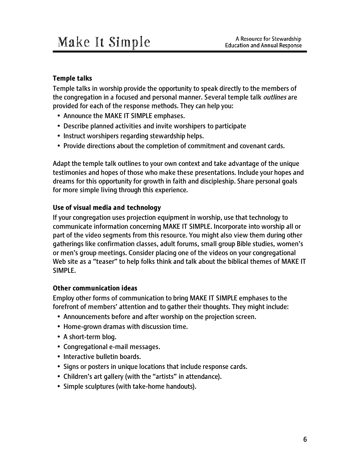### Temple talks

Temple talks in worship provide the opportunity to speak directly to the members of the congregation in a focused and personal manner. Several temple talk *outlines* are provided for each of the response methods. They can help you:

- Announce the MAKE IT SIMPLE emphases.
- Describe planned activities and invite worshipers to participate
- Instruct worshipers regarding stewardship helps.
- Provide directions about the completion of commitment and covenant cards.

Adapt the temple talk outlines to your own context and take advantage of the unique testimonies and hopes of those who make these presentations. Include your hopes and dreams for this opportunity for growth in faith and discipleship. Share personal goals for more simple living through this experience.

#### Use of visual media and technology

If your congregation uses projection equipment in worship, use that technology to communicate information concerning MAKE IT SIMPLE. Incorporate into worship all or part of the video segments from this resource. You might also view them during other gatherings like confirmation classes, adult forums, small group Bible studies, women's or men's group meetings. Consider placing one of the videos on your congregational Web site as a "teaser" to help folks think and talk about the biblical themes of MAKE IT SIMPLE.

### Other communication ideas

Employ other forms of communication to bring MAKE IT SIMPLE emphases to the forefront of members' attention and to gather their thoughts. They might include:

- Announcements before and after worship on the projection screen.
- Home-grown dramas with discussion time.
- A short-term blog.
- Congregational e-mail messages.
- Interactive bulletin boards.
- Signs or posters in unique locations that include response cards.
- Children's art gallery (with the "artists" in attendance).
- Simple sculptures (with take-home handouts).